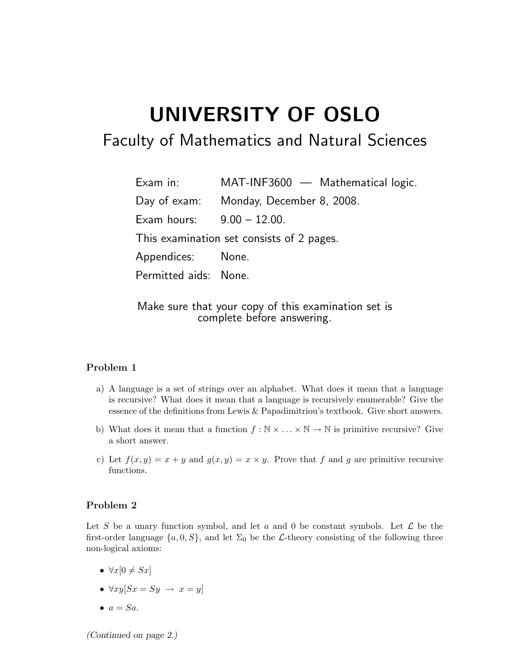## UNIVERSITY OF OSLO

## Faculty of Mathematics and Natural Sciences

Exam in: MAT-INF3600 — Mathematical logic. Day of exam: Monday, December 8, 2008. Exam hours: 9.00 – 12.00. This examination set consists of 2 pages. Appendices: None. Permitted aids: None.

Make sure that your copy of this examination set is complete before answering.

## Problem 1

- a) A language is a set of strings over an alphabet. What does it mean that a language is recursive? What does it mean that a language is recursively enumerable? Give the essence of the definitions from Lewis & Papadimitriou's textbook. Give short answers.
- b) What does it mean that a function  $f : \mathbb{N} \times \ldots \times \mathbb{N} \to \mathbb{N}$  is primitive recursive? Give a short answer.
- c) Let  $f(x, y) = x + y$  and  $g(x, y) = x \times y$ . Prove that f and g are primitive recursive functions.

## Problem 2

Let S be a unary function symbol, and let a and 0 be constant symbols. Let  $\mathcal L$  be the first-order language  $\{a, 0, S\}$ , and let  $\Sigma_0$  be the L-theory consisting of the following three non-logical axioms:

- $\forall x[0 \neq Sx]$
- $\forall xy[Sx = Sy \rightarrow x = y]$
- $\bullet$   $a = Sa$ .

(Continued on page 2.)